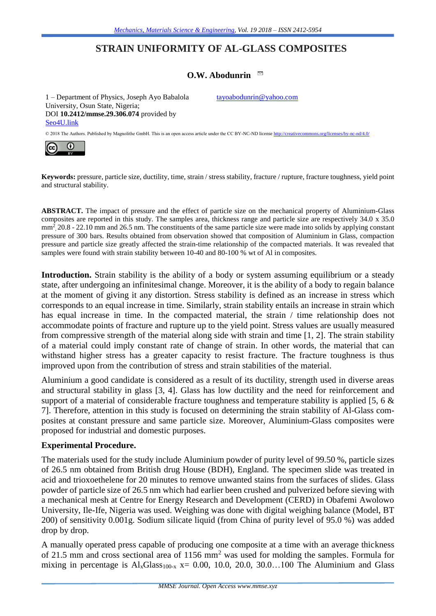# **STRAIN UNIFORMITY OF AL-GLASS COMPOSITES**

# **O.W. Abodunrin**

1 – Department of Physics, Joseph Ayo Babalola University, Osun State, Nigeria; DOI **10.2412/mmse.29.306.074** provided by [Seo4U.link](http://seo4u.link/)

[tayoabodunrin@yahoo.com](mailto:tayoabodunrin@yahoo.com)

© 2018 The Authors. Published by Magnolithe GmbH. This is an open access article under the CC BY-NC-ND licens[e http://creativecommons.org/licenses/by-nc-nd/4.0/](http://creativecommons.org/licenses/by-nc-nd/4.0/)



**Keywords:** pressure, particle size, ductility, time, strain / stress stability, fracture / rupture, fracture toughness, yield point and structural stability.

**ABSTRACT.** The impact of pressure and the effect of particle size on the mechanical property of Aluminium-Glass composites are reported in this study. The samples area, thickness range and particle size are respectively 34.0 x 35.0 mm<sup>2</sup>, 20.8 - 22.10 mm and 26.5 nm. The constituents of the same particle size were made into solids by applying constant pressure of 300 bars. Results obtained from observation showed that composition of Aluminium in Glass, compaction pressure and particle size greatly affected the strain-time relationship of the compacted materials. It was revealed that samples were found with strain stability between 10-40 and 80-100 % wt of Al in composites.

**Introduction.** Strain stability is the ability of a body or system assuming equilibrium or a steady state, after undergoing an infinitesimal change. Moreover, it is the ability of a body to regain balance at the moment of giving it any distortion. Stress stability is defined as an increase in stress which corresponds to an equal increase in time. Similarly, strain stability entails an increase in strain which has equal increase in time. In the compacted material, the strain / time relationship does not accommodate points of fracture and rupture up to the yield point. Stress values are usually measured from compressive strength of the material along side with strain and time [1, 2]. The strain stability of a material could imply constant rate of change of strain. In other words, the material that can withstand higher stress has a greater capacity to resist fracture. The fracture toughness is thus improved upon from the contribution of stress and strain stabilities of the material.

Aluminium a good candidate is considered as a result of its ductility, strength used in diverse areas and structural stability in glass [3, 4]. Glass has low ductility and the need for reinforcement and support of a material of considerable fracture toughness and temperature stability is applied [5, 6 & 7]. Therefore, attention in this study is focused on determining the strain stability of Al-Glass composites at constant pressure and same particle size. Moreover, Aluminium-Glass composites were proposed for industrial and domestic purposes.

#### **Experimental Procedure.**

The materials used for the study include Aluminium powder of purity level of 99.50 %, particle sizes of 26.5 nm obtained from British drug House (BDH), England. The specimen slide was treated in acid and trioxoethelene for 20 minutes to remove unwanted stains from the surfaces of slides. Glass powder of particle size of 26.5 nm which had earlier been crushed and pulverized before sieving with a mechanical mesh at Centre for Energy Research and Development (CERD) in Obafemi Awolowo University, Ile-Ife, Nigeria was used. Weighing was done with digital weighing balance (Model, BT 200) of sensitivity 0.001g. Sodium silicate liquid (from China of purity level of 95.0 %) was added drop by drop.

A manually operated press capable of producing one composite at a time with an average thickness of 21.5 mm and cross sectional area of 1156 mm<sup>2</sup> was used for molding the samples. Formula for mixing in percentage is  $Al_xGlass<sub>100-x</sub> x = 0.00, 10.0, 20.0, 30.0...100$  The Aluminium and Glass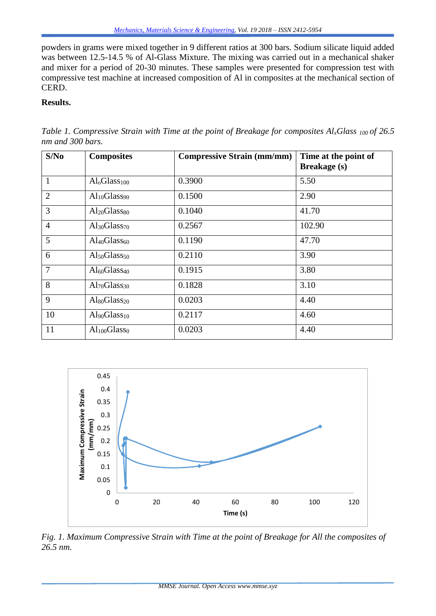powders in grams were mixed together in 9 different ratios at 300 bars. Sodium silicate liquid added was between 12.5-14.5 % of Al-Glass Mixture. The mixing was carried out in a mechanical shaker and mixer for a period of 20-30 minutes. These samples were presented for compression test with compressive test machine at increased composition of Al in composites at the mechanical section of CERD.

#### **Results.**

| S/No           | <b>Composites</b>                    | <b>Compressive Strain (mm/mm)</b> | Time at the point of<br><b>Breakage</b> (s) |
|----------------|--------------------------------------|-----------------------------------|---------------------------------------------|
| 1              | $Al_0Glass100$                       | 0.3900                            | 5.50                                        |
| $\overline{2}$ | Al <sub>10</sub> Glass <sub>90</sub> | 0.1500                            | 2.90                                        |
| $\overline{3}$ | Al <sub>20</sub> Glass <sub>80</sub> | 0.1040                            | 41.70                                       |
| $\overline{4}$ | Al <sub>30</sub> Glass <sub>70</sub> | 0.2567                            | 102.90                                      |
| 5              | $\text{Al}_{40}\text{Glass}_{60}$    | 0.1190                            | 47.70                                       |
| 6              | $Al_{50}Glass_{50}$                  | 0.2110                            | 3.90                                        |
| $\overline{7}$ | Al <sub>60</sub> Glass <sub>40</sub> | 0.1915                            | 3.80                                        |
| 8              | Al <sub>70</sub> Glass <sub>30</sub> | 0.1828                            | 3.10                                        |
| 9              | $Al_{80}Glass_{20}$                  | 0.0203                            | 4.40                                        |
| 10             | $Al_{90}Glass_{10}$                  | 0.2117                            | 4.60                                        |
| 11             | Al <sub>100</sub> Glass <sub>0</sub> | 0.0203                            | 4.40                                        |

*Table 1. Compressive Strain with Time at the point of Breakage for composites AlxGlass <sup>100</sup> of 26.5 nm and 300 bars.*



*Fig. 1. Maximum Compressive Strain with Time at the point of Breakage for All the composites of 26.5 nm.*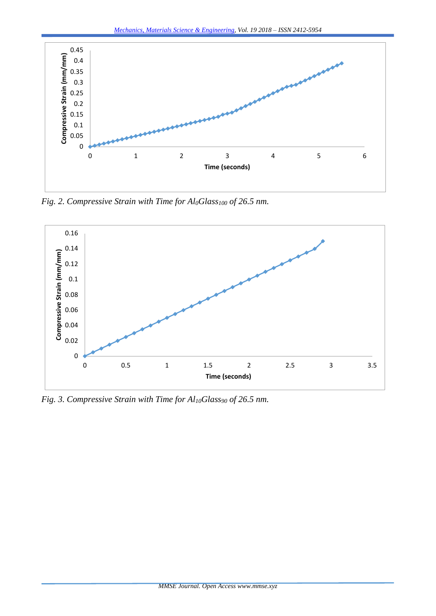

*Fig. 2. Compressive Strain with Time for Al0Glass<sup>100</sup> of 26.5 nm.*



*Fig. 3. Compressive Strain with Time for Al10Glass<sup>90</sup> of 26.5 nm.*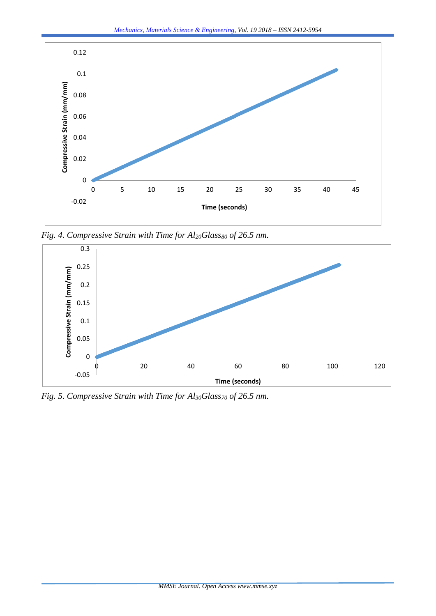

*Fig. 4. Compressive Strain with Time for Al20Glass<sup>80</sup> of 26.5 nm.*



*Fig. 5. Compressive Strain with Time for Al30Glass<sup>70</sup> of 26.5 nm.*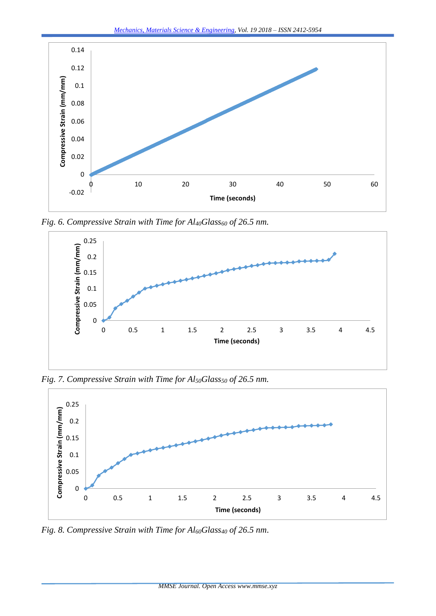

*Fig. 6. Compressive Strain with Time for Al40Glass<sup>60</sup> of 26.5 nm.*



*Fig. 7. Compressive Strain with Time for Al50Glass<sup>50</sup> of 26.5 nm.*



*Fig. 8. Compressive Strain with Time for Al60Glass<sup>40</sup> of 26.5 nm*.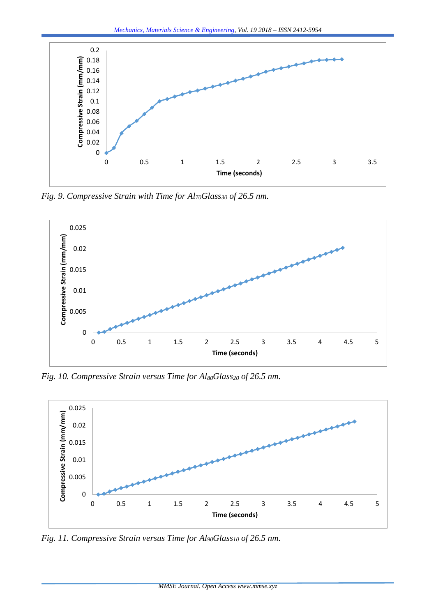

*Fig. 9. Compressive Strain with Time for Al70Glass<sup>30</sup> of 26.5 nm.*



*Fig. 10. Compressive Strain versus Time for Al80Glass<sup>20</sup> of 26.5 nm.*



*Fig. 11. Compressive Strain versus Time for Al90Glass<sup>10</sup> of 26.5 nm.*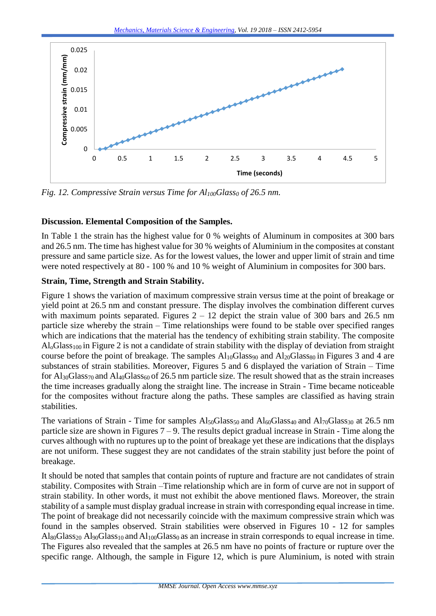

*Fig. 12. Compressive Strain versus Time for Al100Glass<sup>0</sup> of 26.5 nm.*

## **Discussion. Elemental Composition of the Samples.**

In Table 1 the strain has the highest value for 0 % weights of Aluminum in composites at 300 bars and 26.5 nm. The time has highest value for 30 % weights of Aluminium in the composites at constant pressure and same particle size. As for the lowest values, the lower and upper limit of strain and time were noted respectively at 80 - 100 % and 10 % weight of Aluminium in composites for 300 bars.

## **Strain, Time, Strength and Strain Stability.**

Figure 1 shows the variation of maximum compressive strain versus time at the point of breakage or yield point at 26.5 nm and constant pressure. The display involves the combination different curves with maximum points separated. Figures  $2 - 12$  depict the strain value of 300 bars and 26.5 nm particle size whereby the strain – Time relationships were found to be stable over specified ranges which are indications that the material has the tendency of exhibiting strain stability. The composite  $Al<sub>o</sub>Glass<sub>100</sub>$  in Figure 2 is not a candidate of strain stability with the display of deviation from straight course before the point of breakage. The samples  $Al_{10}G$ lass<sub>90</sub> and  $Al_{20}G$ lass<sub>80</sub> in Figures 3 and 4 are substances of strain stabilities. Moreover, Figures 5 and 6 displayed the variation of Strain – Time for  $Al_{30}Glass_{70}$  and  $Al_{40}Glass_{60}$  of 26.5 nm particle size. The result showed that as the strain increases the time increases gradually along the straight line. The increase in Strain - Time became noticeable for the composites without fracture along the paths. These samples are classified as having strain stabilities.

The variations of Strain - Time for samples  $Al_{50}Glass_{50}$  and  $Al_{60}Glass_{40}$  and  $Al_{70}Glass_{30}$  at 26.5 nm particle size are shown in Figures  $7 - 9$ . The results depict gradual increase in Strain - Time along the curves although with no ruptures up to the point of breakage yet these are indications that the displays are not uniform. These suggest they are not candidates of the strain stability just before the point of breakage.

It should be noted that samples that contain points of rupture and fracture are not candidates of strain stability. Composites with Strain –Time relationship which are in form of curve are not in support of strain stability. In other words, it must not exhibit the above mentioned flaws. Moreover, the strain stability of a sample must display gradual increase in strain with corresponding equal increase in time. The point of breakage did not necessarily coincide with the maximum compressive strain which was found in the samples observed. Strain stabilities were observed in Figures 10 - 12 for samples  $\text{AlsoGlass}_{20}$  Al<sub>90</sub>Glass<sub>10</sub> and Al<sub>100</sub>Glass<sub>0</sub> as an increase in strain corresponds to equal increase in time. The Figures also revealed that the samples at 26.5 nm have no points of fracture or rupture over the specific range. Although, the sample in Figure 12, which is pure Aluminium, is noted with strain